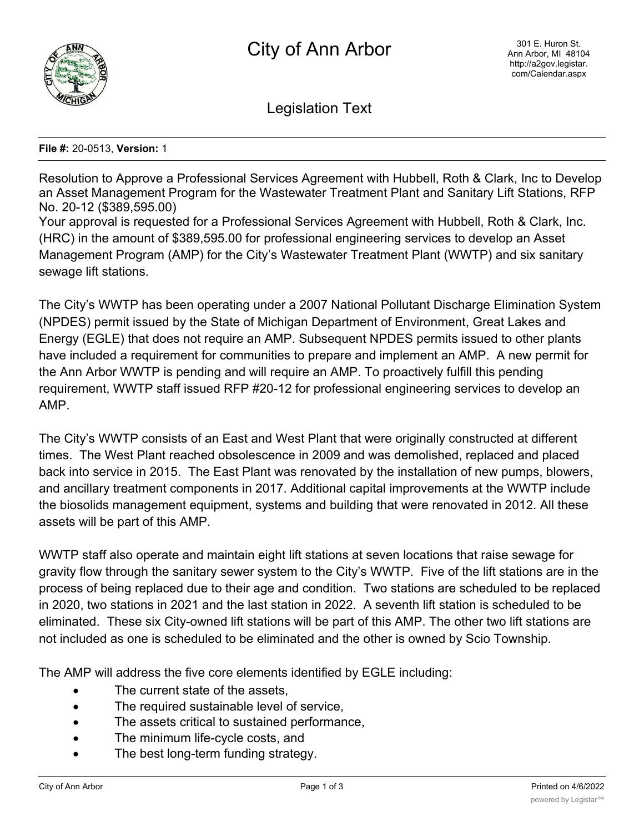

Legislation Text

## **File #:** 20-0513, **Version:** 1

Resolution to Approve a Professional Services Agreement with Hubbell, Roth & Clark, Inc to Develop an Asset Management Program for the Wastewater Treatment Plant and Sanitary Lift Stations, RFP No. 20-12 (\$389,595.00) Your approval is requested for a Professional Services Agreement with Hubbell, Roth & Clark, Inc. (HRC) in the amount of \$389,595.00 for professional engineering services to develop an Asset Management Program (AMP) for the City's Wastewater Treatment Plant (WWTP) and six sanitary sewage lift stations.

The City's WWTP has been operating under a 2007 National Pollutant Discharge Elimination System (NPDES) permit issued by the State of Michigan Department of Environment, Great Lakes and Energy (EGLE) that does not require an AMP. Subsequent NPDES permits issued to other plants have included a requirement for communities to prepare and implement an AMP. A new permit for the Ann Arbor WWTP is pending and will require an AMP. To proactively fulfill this pending requirement, WWTP staff issued RFP #20-12 for professional engineering services to develop an AMP.

The City's WWTP consists of an East and West Plant that were originally constructed at different times. The West Plant reached obsolescence in 2009 and was demolished, replaced and placed back into service in 2015. The East Plant was renovated by the installation of new pumps, blowers, and ancillary treatment components in 2017. Additional capital improvements at the WWTP include the biosolids management equipment, systems and building that were renovated in 2012. All these assets will be part of this AMP.

WWTP staff also operate and maintain eight lift stations at seven locations that raise sewage for gravity flow through the sanitary sewer system to the City's WWTP. Five of the lift stations are in the process of being replaced due to their age and condition. Two stations are scheduled to be replaced in 2020, two stations in 2021 and the last station in 2022. A seventh lift station is scheduled to be eliminated. These six City-owned lift stations will be part of this AMP. The other two lift stations are not included as one is scheduled to be eliminated and the other is owned by Scio Township.

The AMP will address the five core elements identified by EGLE including:

- · The current state of the assets,
- · The required sustainable level of service,
- · The assets critical to sustained performance,
- · The minimum life-cycle costs, and
- The best long-term funding strategy.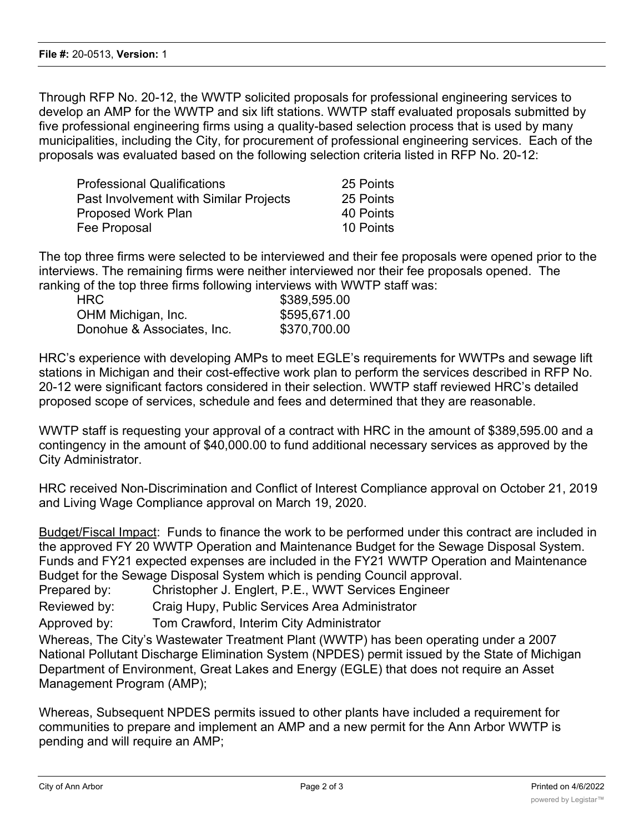Through RFP No. 20-12, the WWTP solicited proposals for professional engineering services to develop an AMP for the WWTP and six lift stations. WWTP staff evaluated proposals submitted by five professional engineering firms using a quality-based selection process that is used by many municipalities, including the City, for procurement of professional engineering services. Each of the proposals was evaluated based on the following selection criteria listed in RFP No. 20-12:

| Professional Qualifications                   | 25 Points |
|-----------------------------------------------|-----------|
| <b>Past Involvement with Similar Projects</b> | 25 Points |
| Proposed Work Plan                            | 40 Points |
| Fee Proposal                                  | 10 Points |

The top three firms were selected to be interviewed and their fee proposals were opened prior to the interviews. The remaining firms were neither interviewed nor their fee proposals opened. The ranking of the top three firms following interviews with WWTP staff was:

| <b>HRC</b>                 | \$389,595.00 |
|----------------------------|--------------|
| OHM Michigan, Inc.         | \$595,671.00 |
| Donohue & Associates, Inc. | \$370,700.00 |

HRC's experience with developing AMPs to meet EGLE's requirements for WWTPs and sewage lift stations in Michigan and their cost-effective work plan to perform the services described in RFP No. 20-12 were significant factors considered in their selection. WWTP staff reviewed HRC's detailed proposed scope of services, schedule and fees and determined that they are reasonable.

WWTP staff is requesting your approval of a contract with HRC in the amount of \$389,595.00 and a contingency in the amount of \$40,000.00 to fund additional necessary services as approved by the City Administrator.

HRC received Non-Discrimination and Conflict of Interest Compliance approval on October 21, 2019 and Living Wage Compliance approval on March 19, 2020.

Budget/Fiscal Impact: Funds to finance the work to be performed under this contract are included in the approved FY 20 WWTP Operation and Maintenance Budget for the Sewage Disposal System. Funds and FY21 expected expenses are included in the FY21 WWTP Operation and Maintenance Budget for the Sewage Disposal System which is pending Council approval.

Prepared by: Christopher J. Englert, P.E., WWT Services Engineer

Reviewed by: Craig Hupy, Public Services Area Administrator

Approved by: Tom Crawford, Interim City Administrator

Whereas, The City's Wastewater Treatment Plant (WWTP) has been operating under a 2007 National Pollutant Discharge Elimination System (NPDES) permit issued by the State of Michigan Department of Environment, Great Lakes and Energy (EGLE) that does not require an Asset Management Program (AMP);

Whereas, Subsequent NPDES permits issued to other plants have included a requirement for communities to prepare and implement an AMP and a new permit for the Ann Arbor WWTP is pending and will require an AMP;